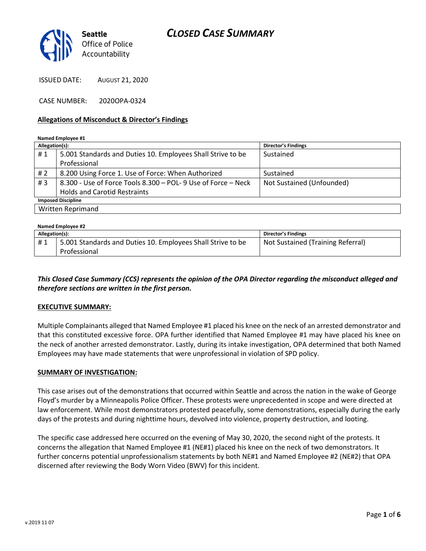



ISSUED DATE: AUGUST 21, 2020

CASE NUMBER: 2020OPA-0324

#### **Allegations of Misconduct & Director's Findings**

| Named Employee #1         |                                                              |                            |  |
|---------------------------|--------------------------------------------------------------|----------------------------|--|
| Allegation(s):            |                                                              | <b>Director's Findings</b> |  |
| #1                        | 5.001 Standards and Duties 10. Employees Shall Strive to be  | Sustained                  |  |
|                           | Professional                                                 |                            |  |
| # 2                       | 8.200 Using Force 1. Use of Force: When Authorized           | Sustained                  |  |
| # $3$                     | 8.300 - Use of Force Tools 8.300 – POL-9 Use of Force – Neck | Not Sustained (Unfounded)  |  |
|                           | <b>Holds and Carotid Restraints</b>                          |                            |  |
| <b>Imposed Discipline</b> |                                                              |                            |  |
| Written Reprimand         |                                                              |                            |  |

| Named Employee #2 |                                                             |                                   |  |
|-------------------|-------------------------------------------------------------|-----------------------------------|--|
| Allegation(s):    |                                                             | Director's Findings               |  |
| #1                | 5.001 Standards and Duties 10. Employees Shall Strive to be | Not Sustained (Training Referral) |  |
|                   | Professional                                                |                                   |  |

## *This Closed Case Summary (CCS) represents the opinion of the OPA Director regarding the misconduct alleged and therefore sections are written in the first person.*

#### **EXECUTIVE SUMMARY:**

Multiple Complainants alleged that Named Employee #1 placed his knee on the neck of an arrested demonstrator and that this constituted excessive force. OPA further identified that Named Employee #1 may have placed his knee on the neck of another arrested demonstrator. Lastly, during its intake investigation, OPA determined that both Named Employees may have made statements that were unprofessional in violation of SPD policy.

#### **SUMMARY OF INVESTIGATION:**

This case arises out of the demonstrations that occurred within Seattle and across the nation in the wake of George Floyd's murder by a Minneapolis Police Officer. These protests were unprecedented in scope and were directed at law enforcement. While most demonstrators protested peacefully, some demonstrations, especially during the early days of the protests and during nighttime hours, devolved into violence, property destruction, and looting.

The specific case addressed here occurred on the evening of May 30, 2020, the second night of the protests. It concerns the allegation that Named Employee #1 (NE#1) placed his knee on the neck of two demonstrators. It further concerns potential unprofessionalism statements by both NE#1 and Named Employee #2 (NE#2) that OPA discerned after reviewing the Body Worn Video (BWV) for this incident.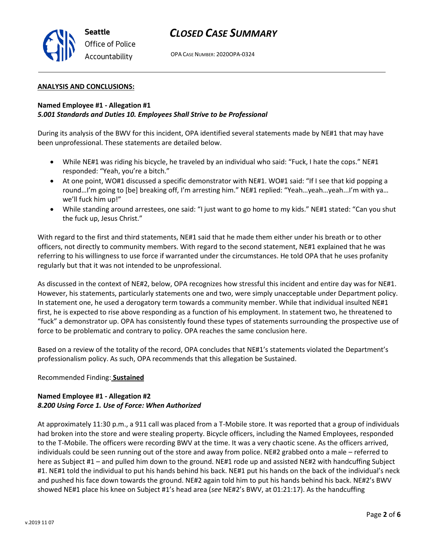

OPA CASE NUMBER: 2020OPA-0324

#### **ANALYSIS AND CONCLUSIONS:**

#### **Named Employee #1 - Allegation #1** *5.001 Standards and Duties 10. Employees Shall Strive to be Professional*

During its analysis of the BWV for this incident, OPA identified several statements made by NE#1 that may have been unprofessional. These statements are detailed below.

- While NE#1 was riding his bicycle, he traveled by an individual who said: "Fuck, I hate the cops." NE#1 responded: "Yeah, you're a bitch."
- At one point, WO#1 discussed a specific demonstrator with NE#1. WO#1 said: "If I see that kid popping a round…I'm going to [be] breaking off, I'm arresting him." NE#1 replied: "Yeah…yeah…yeah...I'm with ya… we'll fuck him up!"
- While standing around arrestees, one said: "I just want to go home to my kids." NE#1 stated: "Can you shut the fuck up, Jesus Christ."

With regard to the first and third statements, NE#1 said that he made them either under his breath or to other officers, not directly to community members. With regard to the second statement, NE#1 explained that he was referring to his willingness to use force if warranted under the circumstances. He told OPA that he uses profanity regularly but that it was not intended to be unprofessional.

As discussed in the context of NE#2, below, OPA recognizes how stressful this incident and entire day was for NE#1. However, his statements, particularly statements one and two, were simply unacceptable under Department policy. In statement one, he used a derogatory term towards a community member. While that individual insulted NE#1 first, he is expected to rise above responding as a function of his employment. In statement two, he threatened to "fuck" a demonstrator up. OPA has consistently found these types of statements surrounding the prospective use of force to be problematic and contrary to policy. OPA reaches the same conclusion here.

Based on a review of the totality of the record, OPA concludes that NE#1's statements violated the Department's professionalism policy. As such, OPA recommends that this allegation be Sustained.

### Recommended Finding: **Sustained**

## **Named Employee #1 - Allegation #2** *8.200 Using Force 1. Use of Force: When Authorized*

At approximately 11:30 p.m., a 911 call was placed from a T-Mobile store. It was reported that a group of individuals had broken into the store and were stealing property. Bicycle officers, including the Named Employees, responded to the T-Mobile. The officers were recording BWV at the time. It was a very chaotic scene. As the officers arrived, individuals could be seen running out of the store and away from police. NE#2 grabbed onto a male – referred to here as Subject #1 – and pulled him down to the ground. NE#1 rode up and assisted NE#2 with handcuffing Subject #1. NE#1 told the individual to put his hands behind his back. NE#1 put his hands on the back of the individual's neck and pushed his face down towards the ground. NE#2 again told him to put his hands behind his back. NE#2's BWV showed NE#1 place his knee on Subject #1's head area (*see* NE#2's BWV, at 01:21:17). As the handcuffing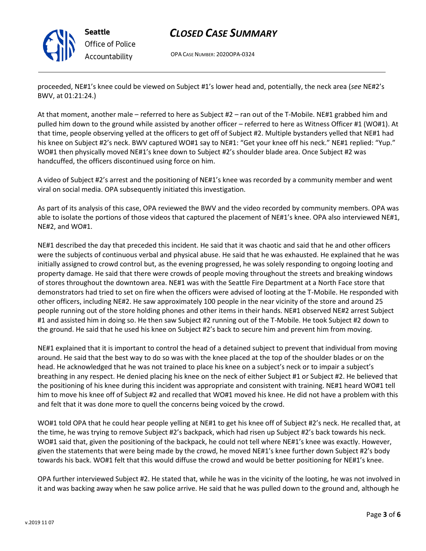

OPA CASE NUMBER: 2020OPA-0324

proceeded, NE#1's knee could be viewed on Subject #1's lower head and, potentially, the neck area (*see* NE#2's BWV, at 01:21:24.)

At that moment, another male – referred to here as Subject #2 – ran out of the T-Mobile. NE#1 grabbed him and pulled him down to the ground while assisted by another officer – referred to here as Witness Officer #1 (WO#1). At that time, people observing yelled at the officers to get off of Subject #2. Multiple bystanders yelled that NE#1 had his knee on Subject #2's neck. BWV captured WO#1 say to NE#1: "Get your knee off his neck." NE#1 replied: "Yup." WO#1 then physically moved NE#1's knee down to Subject #2's shoulder blade area. Once Subject #2 was handcuffed, the officers discontinued using force on him.

A video of Subject #2's arrest and the positioning of NE#1's knee was recorded by a community member and went viral on social media. OPA subsequently initiated this investigation.

As part of its analysis of this case, OPA reviewed the BWV and the video recorded by community members. OPA was able to isolate the portions of those videos that captured the placement of NE#1's knee. OPA also interviewed NE#1, NE#2, and WO#1.

NE#1 described the day that preceded this incident. He said that it was chaotic and said that he and other officers were the subjects of continuous verbal and physical abuse. He said that he was exhausted. He explained that he was initially assigned to crowd control but, as the evening progressed, he was solely responding to ongoing looting and property damage. He said that there were crowds of people moving throughout the streets and breaking windows of stores throughout the downtown area. NE#1 was with the Seattle Fire Department at a North Face store that demonstrators had tried to set on fire when the officers were advised of looting at the T-Mobile. He responded with other officers, including NE#2. He saw approximately 100 people in the near vicinity of the store and around 25 people running out of the store holding phones and other items in their hands. NE#1 observed NE#2 arrest Subject #1 and assisted him in doing so. He then saw Subject #2 running out of the T-Mobile. He took Subject #2 down to the ground. He said that he used his knee on Subject #2's back to secure him and prevent him from moving.

NE#1 explained that it is important to control the head of a detained subject to prevent that individual from moving around. He said that the best way to do so was with the knee placed at the top of the shoulder blades or on the head. He acknowledged that he was not trained to place his knee on a subject's neck or to impair a subject's breathing in any respect. He denied placing his knee on the neck of either Subject #1 or Subject #2. He believed that the positioning of his knee during this incident was appropriate and consistent with training. NE#1 heard WO#1 tell him to move his knee off of Subject #2 and recalled that WO#1 moved his knee. He did not have a problem with this and felt that it was done more to quell the concerns being voiced by the crowd.

WO#1 told OPA that he could hear people yelling at NE#1 to get his knee off of Subject #2's neck. He recalled that, at the time, he was trying to remove Subject #2's backpack, which had risen up Subject #2's back towards his neck. WO#1 said that, given the positioning of the backpack, he could not tell where NE#1's knee was exactly. However, given the statements that were being made by the crowd, he moved NE#1's knee further down Subject #2's body towards his back. WO#1 felt that this would diffuse the crowd and would be better positioning for NE#1's knee.

OPA further interviewed Subject #2. He stated that, while he was in the vicinity of the looting, he was not involved in it and was backing away when he saw police arrive. He said that he was pulled down to the ground and, although he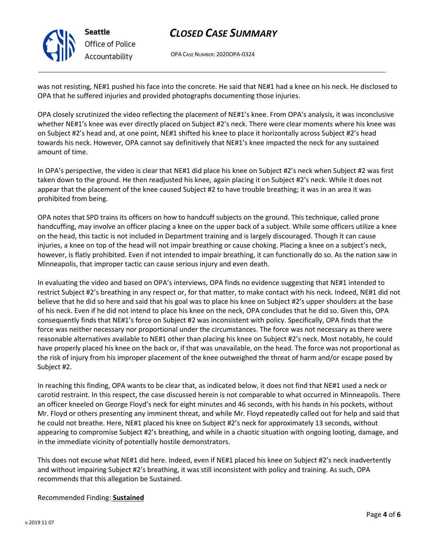OPA CASE NUMBER: 2020OPA-0324

was not resisting, NE#1 pushed his face into the concrete. He said that NE#1 had a knee on his neck. He disclosed to OPA that he suffered injuries and provided photographs documenting those injuries.

OPA closely scrutinized the video reflecting the placement of NE#1's knee. From OPA's analysis, it was inconclusive whether NE#1's knee was ever directly placed on Subject #2's neck. There were clear moments where his knee was on Subject #2's head and, at one point, NE#1 shifted his knee to place it horizontally across Subject #2's head towards his neck. However, OPA cannot say definitively that NE#1's knee impacted the neck for any sustained amount of time.

In OPA's perspective, the video is clear that NE#1 did place his knee on Subject #2's neck when Subject #2 was first taken down to the ground. He then readjusted his knee, again placing it on Subject #2's neck. While it does not appear that the placement of the knee caused Subject #2 to have trouble breathing; it was in an area it was prohibited from being.

OPA notes that SPD trains its officers on how to handcuff subjects on the ground. This technique, called prone handcuffing, may involve an officer placing a knee on the upper back of a subject. While some officers utilize a knee on the head, this tactic is not included in Department training and is largely discouraged. Though it can cause injuries, a knee on top of the head will not impair breathing or cause choking. Placing a knee on a subject's neck, however, is flatly prohibited. Even if not intended to impair breathing, it can functionally do so. As the nation saw in Minneapolis, that improper tactic can cause serious injury and even death.

In evaluating the video and based on OPA's interviews, OPA finds no evidence suggesting that NE#1 intended to restrict Subject #2's breathing in any respect or, for that matter, to make contact with his neck. Indeed, NE#1 did not believe that he did so here and said that his goal was to place his knee on Subject #2's upper shoulders at the base of his neck. Even if he did not intend to place his knee on the neck, OPA concludes that he did so. Given this, OPA consequently finds that NE#1's force on Subject #2 was inconsistent with policy. Specifically, OPA finds that the force was neither necessary nor proportional under the circumstances. The force was not necessary as there were reasonable alternatives available to NE#1 other than placing his knee on Subject #2's neck. Most notably, he could have properly placed his knee on the back or, if that was unavailable, on the head. The force was not proportional as the risk of injury from his improper placement of the knee outweighed the threat of harm and/or escape posed by Subject #2.

In reaching this finding, OPA wants to be clear that, as indicated below, it does not find that NE#1 used a neck or carotid restraint. In this respect, the case discussed herein is not comparable to what occurred in Minneapolis. There an officer kneeled on George Floyd's neck for eight minutes and 46 seconds, with his hands in his pockets, without Mr. Floyd or others presenting any imminent threat, and while Mr. Floyd repeatedly called out for help and said that he could not breathe. Here, NE#1 placed his knee on Subject #2's neck for approximately 13 seconds, without appearing to compromise Subject #2's breathing, and while in a chaotic situation with ongoing looting, damage, and in the immediate vicinity of potentially hostile demonstrators.

This does not excuse what NE#1 did here. Indeed, even if NE#1 placed his knee on Subject #2's neck inadvertently and without impairing Subject #2's breathing, it was still inconsistent with policy and training. As such, OPA recommends that this allegation be Sustained.

Recommended Finding: **Sustained**



**Seattle**

*Office of Police Accountability*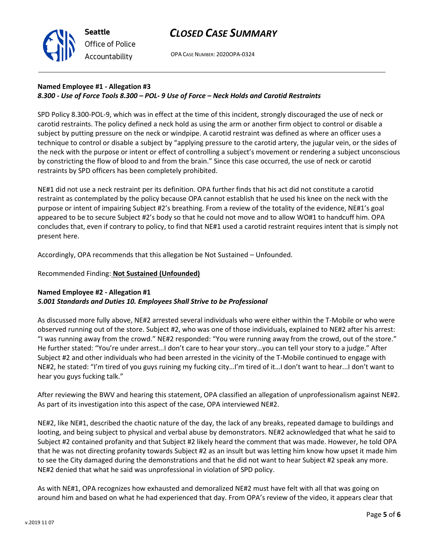OPA CASE NUMBER: 2020OPA-0324

## **Named Employee #1 - Allegation #3** *8.300 - Use of Force Tools 8.300 – POL- 9 Use of Force – Neck Holds and Carotid Restraints*

SPD Policy 8.300-POL-9, which was in effect at the time of this incident, strongly discouraged the use of neck or carotid restraints. The policy defined a neck hold as using the arm or another firm object to control or disable a subject by putting pressure on the neck or windpipe. A carotid restraint was defined as where an officer uses a technique to control or disable a subject by "applying pressure to the carotid artery, the jugular vein, or the sides of the neck with the purpose or intent or effect of controlling a subject's movement or rendering a subject unconscious by constricting the flow of blood to and from the brain." Since this case occurred, the use of neck or carotid restraints by SPD officers has been completely prohibited.

NE#1 did not use a neck restraint per its definition. OPA further finds that his act did not constitute a carotid restraint as contemplated by the policy because OPA cannot establish that he used his knee on the neck with the purpose or intent of impairing Subject #2's breathing. From a review of the totality of the evidence, NE#1's goal appeared to be to secure Subject #2's body so that he could not move and to allow WO#1 to handcuff him. OPA concludes that, even if contrary to policy, to find that NE#1 used a carotid restraint requires intent that is simply not present here.

Accordingly, OPA recommends that this allegation be Not Sustained – Unfounded.

## Recommended Finding: **Not Sustained (Unfounded)**

### **Named Employee #2 - Allegation #1** *5.001 Standards and Duties 10. Employees Shall Strive to be Professional*

As discussed more fully above, NE#2 arrested several individuals who were either within the T-Mobile or who were observed running out of the store. Subject #2, who was one of those individuals, explained to NE#2 after his arrest: "I was running away from the crowd." NE#2 responded: "You were running away from the crowd, out of the store." He further stated: "You're under arrest…I don't care to hear your story…you can tell your story to a judge." After Subject #2 and other individuals who had been arrested in the vicinity of the T-Mobile continued to engage with NE#2, he stated: "I'm tired of you guys ruining my fucking city...I'm tired of it...I don't want to hear...I don't want to hear you guys fucking talk."

After reviewing the BWV and hearing this statement, OPA classified an allegation of unprofessionalism against NE#2. As part of its investigation into this aspect of the case, OPA interviewed NE#2.

NE#2, like NE#1, described the chaotic nature of the day, the lack of any breaks, repeated damage to buildings and looting, and being subject to physical and verbal abuse by demonstrators. NE#2 acknowledged that what he said to Subject #2 contained profanity and that Subject #2 likely heard the comment that was made. However, he told OPA that he was not directing profanity towards Subject #2 as an insult but was letting him know how upset it made him to see the City damaged during the demonstrations and that he did not want to hear Subject #2 speak any more. NE#2 denied that what he said was unprofessional in violation of SPD policy.

As with NE#1, OPA recognizes how exhausted and demoralized NE#2 must have felt with all that was going on around him and based on what he had experienced that day. From OPA's review of the video, it appears clear that



**Seattle**

*Office of Police Accountability*